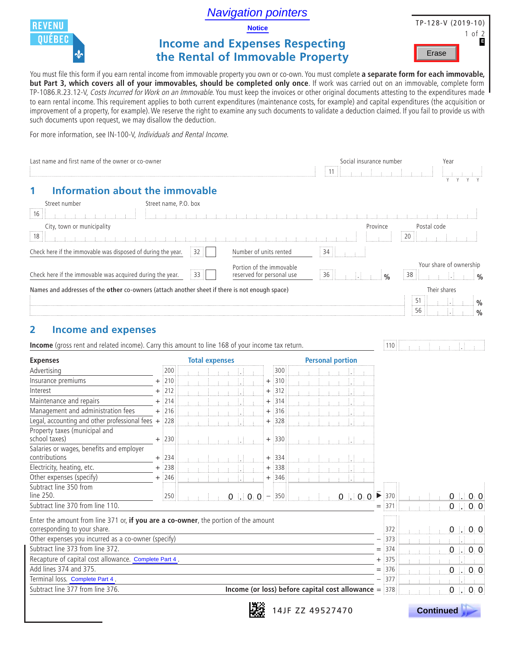Navigation pointers



**Notice**

# **Income and Expenses Respecting the Rental of Immovable Property**

TP-128-V (2019-10) 1 of 2 **E** Erase

You must file this form if you earn rental income from immovable property you own or co-own. You must complete **a separate form for each immovable, but Part 3, which covers all of your immovables, should be completed only once**. If work was carried out on an immovable, complete form TP-1086.R.23.12-V, Costs Incurred for Work on an Immovable. You must keep the invoices or other original documents attesting to the expenditures made to earn rental income. This requirement applies to both current expenditures (maintenance costs, for example) and capital expenditures (the acquisition or improvement of a property, for example). We reserve the right to examine any such documents to validate a deduction claimed. If you fail to provide us with such documents upon request, we may disallow the deduction.

For more information, see IN-100-V, Individuals and Rental Income.

| Last name and first name of the owner or co-owner                                                                                      |                          |  |                       |  |                 |            |                  |  | 11 |                                                        | Social insurance number |                         | Year                                           |                                                                |                                |
|----------------------------------------------------------------------------------------------------------------------------------------|--------------------------|--|-----------------------|--|-----------------|------------|------------------|--|----|--------------------------------------------------------|-------------------------|-------------------------|------------------------------------------------|----------------------------------------------------------------|--------------------------------|
| <b>Information about the immovable</b>                                                                                                 |                          |  |                       |  |                 |            |                  |  |    |                                                        |                         |                         |                                                |                                                                |                                |
| Street number                                                                                                                          | Street name, P.O. box    |  |                       |  |                 |            |                  |  |    |                                                        |                         |                         |                                                |                                                                |                                |
| 16                                                                                                                                     |                          |  |                       |  |                 |            |                  |  |    |                                                        |                         |                         |                                                |                                                                |                                |
|                                                                                                                                        |                          |  |                       |  |                 |            |                  |  |    |                                                        | Province                |                         | Postal code                                    |                                                                |                                |
| City, town or municipality<br>18                                                                                                       |                          |  |                       |  |                 |            |                  |  |    |                                                        |                         |                         | 20                                             |                                                                |                                |
|                                                                                                                                        |                          |  |                       |  |                 |            |                  |  |    |                                                        |                         |                         |                                                |                                                                |                                |
| Check here if the immovable was disposed of during the year.<br>Number of units rented<br>34<br>32                                     |                          |  |                       |  |                 |            |                  |  |    |                                                        |                         |                         |                                                |                                                                |                                |
| Portion of the immovable<br>Check here if the immovable was acquired during the year.<br>33<br>36<br>reserved for personal use<br>-1.1 |                          |  |                       |  |                 |            |                  |  |    |                                                        |                         | $\frac{0}{0}$           | Your share of ownership<br>38<br>$\frac{0}{0}$ |                                                                |                                |
| Names and addresses of the other co-owners (attach another sheet if there is not enough space)                                         |                          |  |                       |  |                 |            |                  |  |    |                                                        |                         |                         |                                                | Their shares                                                   |                                |
|                                                                                                                                        |                          |  |                       |  |                 |            |                  |  |    |                                                        |                         |                         | 51                                             |                                                                |                                |
|                                                                                                                                        |                          |  |                       |  |                 |            |                  |  |    |                                                        |                         |                         | 56                                             |                                                                | $\frac{0}{0}$<br>$\frac{0}{0}$ |
|                                                                                                                                        |                          |  |                       |  |                 |            |                  |  |    |                                                        |                         |                         |                                                |                                                                |                                |
| $\overline{\mathbf{2}}$<br><b>Income and expenses</b>                                                                                  |                          |  |                       |  |                 |            |                  |  |    |                                                        |                         |                         |                                                |                                                                |                                |
| Income (gross rent and related income). Carry this amount to line 168 of your income tax return.                                       |                          |  |                       |  |                 |            |                  |  |    |                                                        |                         | ່: 110 ∶ີ               |                                                |                                                                |                                |
|                                                                                                                                        |                          |  |                       |  |                 |            |                  |  |    |                                                        |                         |                         |                                                |                                                                |                                |
| <b>Expenses</b>                                                                                                                        |                          |  | <b>Total expenses</b> |  |                 |            |                  |  |    | <b>Personal portion</b>                                |                         |                         |                                                |                                                                |                                |
| Advertising                                                                                                                            | 200                      |  |                       |  |                 |            | 300              |  |    |                                                        |                         |                         |                                                |                                                                |                                |
| Insurance premiums                                                                                                                     | $\frac{1}{2}$ 210        |  |                       |  |                 | $+$        | $\frac{1}{3}310$ |  |    |                                                        |                         |                         |                                                |                                                                |                                |
| Interest                                                                                                                               | 212                      |  |                       |  |                 | $+$        | 312              |  |    |                                                        |                         |                         |                                                |                                                                |                                |
| Maintenance and repairs                                                                                                                | $\frac{1}{2}$ 214<br>$+$ |  |                       |  |                 | $+$        | 314              |  |    |                                                        |                         |                         |                                                |                                                                |                                |
| Management and administration fees                                                                                                     | $+$ 216                  |  |                       |  |                 | $\ddot{}$  | ∶316             |  |    |                                                        |                         |                         |                                                |                                                                |                                |
| Legal, accounting and other professional fees $+$ 228                                                                                  |                          |  |                       |  |                 | $^{+}$     | :328             |  |    |                                                        |                         |                         |                                                |                                                                |                                |
| Property taxes (municipal and<br>school taxes)                                                                                         | $+$ :230                 |  |                       |  |                 |            | $+$ 330          |  |    |                                                        |                         |                         |                                                |                                                                |                                |
| Salaries or wages, benefits and employer                                                                                               |                          |  |                       |  |                 |            |                  |  |    |                                                        |                         |                         |                                                |                                                                |                                |
| contributions                                                                                                                          | $+$ 234                  |  |                       |  |                 | $\ddot{}$  | 334              |  |    |                                                        |                         |                         |                                                |                                                                |                                |
| Electricity, heating, etc.                                                                                                             | 1238<br>$\ddot{}$        |  |                       |  |                 |            | 338              |  |    |                                                        |                         |                         |                                                |                                                                |                                |
| Other expenses (specify)                                                                                                               | :246                     |  |                       |  |                 | $\hbox{+}$ | 346              |  |    |                                                        |                         |                         |                                                |                                                                |                                |
| Subtract line 350 from                                                                                                                 |                          |  |                       |  |                 |            |                  |  |    |                                                        |                         |                         |                                                |                                                                |                                |
| line 250.                                                                                                                              | 250                      |  |                       |  | $0$ 0 0 $-$ 350 |            |                  |  |    | $0 \cup 0 0$                                           |                         | $\frac{1}{2}370$        |                                                | $0 \cdot 0$ 0                                                  |                                |
| Subtract line 370 from line 110.                                                                                                       |                          |  |                       |  |                 |            |                  |  |    |                                                        |                         | $\frac{1}{2}371$<br>$=$ |                                                | $0 \ldots 0$                                                   |                                |
| Enter the amount from line 371 or, if you are a co-owner, the portion of the amount                                                    |                          |  |                       |  |                 |            |                  |  |    |                                                        |                         |                         |                                                |                                                                |                                |
| corresponding to your share.                                                                                                           |                          |  |                       |  |                 |            |                  |  |    |                                                        |                         | $\frac{1}{2}$ 372       |                                                | $\begin{bmatrix} 0 \\ 0 \end{bmatrix}$<br>$\bf{0}$             |                                |
| Other expenses you incurred as a co-owner (specify)                                                                                    |                          |  |                       |  |                 |            |                  |  |    |                                                        |                         | $\frac{1}{2}373$        |                                                |                                                                |                                |
| Subtract line 373 from line 372.                                                                                                       |                          |  |                       |  |                 |            |                  |  |    |                                                        |                         | $=$ 374                 |                                                | $\begin{bmatrix} 0 & \cdot & 0 \\ 0 & \cdot & 0 \end{bmatrix}$ |                                |
| Recapture of capital cost allowance. Complete Part 4.                                                                                  |                          |  |                       |  |                 |            |                  |  |    |                                                        |                         | $+$ 375                 |                                                |                                                                |                                |
| Add lines 374 and 375.                                                                                                                 |                          |  |                       |  |                 |            |                  |  |    |                                                        |                         | $=$ 376                 |                                                | 0.00                                                           |                                |
| Terminal loss. Complete Part 4.                                                                                                        |                          |  |                       |  |                 |            |                  |  |    |                                                        |                         | $-$ 377                 |                                                |                                                                |                                |
| Subtract line 377 from line 376.                                                                                                       |                          |  |                       |  |                 |            |                  |  |    | Income (or loss) before capital cost allowance $=$ 378 |                         |                         |                                                | $0 \cdot 0$                                                    |                                |
|                                                                                                                                        |                          |  |                       |  |                 | 1962e      |                  |  |    |                                                        |                         |                         |                                                |                                                                |                                |



 **Continued .**